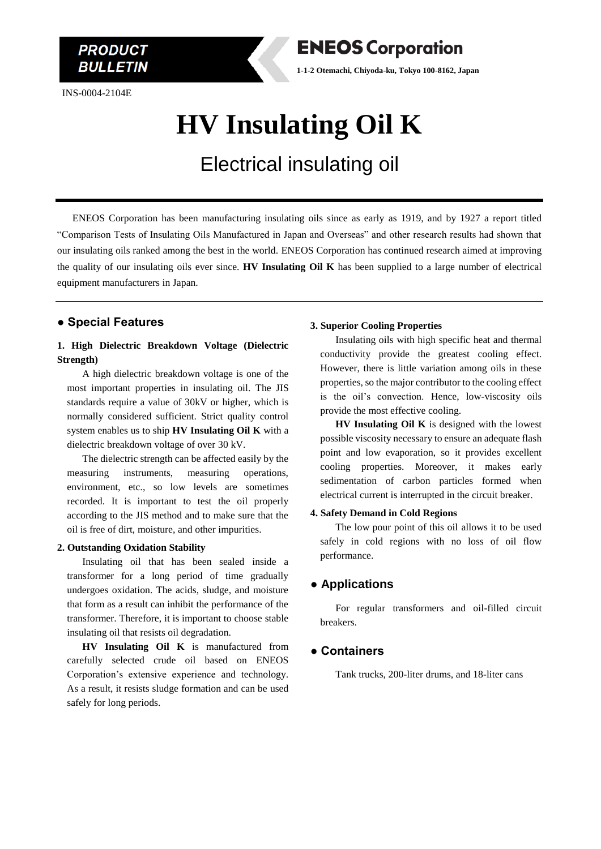INS-0004-2104E

**PRODUCT** *BULLETIN* 



**1-1-2 Otemachi, Chiyoda-ku, Tokyo 100-8162, Japan**

## **HV Insulating Oil K**

### Electrical insulating oil

 ENEOS Corporation has been manufacturing insulating oils since as early as 1919, and by 1927 a report titled "Comparison Tests of Insulating Oils Manufactured in Japan and Overseas" and other research results had shown that our insulating oils ranked among the best in the world. ENEOS Corporation has continued research aimed at improving the quality of our insulating oils ever since. **HV Insulating Oil K** has been supplied to a large number of electrical equipment manufacturers in Japan.

#### **● Special Features**

#### **1. High Dielectric Breakdown Voltage (Dielectric Strength)**

A high dielectric breakdown voltage is one of the most important properties in insulating oil. The JIS standards require a value of 30kV or higher, which is normally considered sufficient. Strict quality control system enables us to ship **HV Insulating Oil K** with a dielectric breakdown voltage of over 30 kV.

The dielectric strength can be affected easily by the measuring instruments, measuring operations, environment, etc., so low levels are sometimes recorded. It is important to test the oil properly according to the JIS method and to make sure that the oil is free of dirt, moisture, and other impurities.

#### **2. Outstanding Oxidation Stability**

Insulating oil that has been sealed inside a transformer for a long period of time gradually undergoes oxidation. The acids, sludge, and moisture that form as a result can inhibit the performance of the transformer. Therefore, it is important to choose stable insulating oil that resists oil degradation.

**HV Insulating Oil K** is manufactured from carefully selected crude oil based on ENEOS Corporation's extensive experience and technology. As a result, it resists sludge formation and can be used safely for long periods.

#### **3. Superior Cooling Properties**

Insulating oils with high specific heat and thermal conductivity provide the greatest cooling effect. However, there is little variation among oils in these properties, so the major contributor to the cooling effect is the oil's convection. Hence, low-viscosity oils provide the most effective cooling.

**HV Insulating Oil K** is designed with the lowest possible viscosity necessary to ensure an adequate flash point and low evaporation, so it provides excellent cooling properties. Moreover, it makes early sedimentation of carbon particles formed when electrical current is interrupted in the circuit breaker.

#### **4. Safety Demand in Cold Regions**

The low pour point of this oil allows it to be used safely in cold regions with no loss of oil flow performance.

#### **● Applications**

For regular transformers and oil-filled circuit breakers.

#### **● Containers**

Tank trucks, 200-liter drums, and 18-liter cans